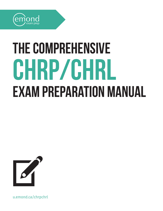

## The Comprehensive **CHRP/CHRL** Exam Preparation Manual



[u.emond.ca/chrpchrl](https://u.emond.ca/chrpchrl)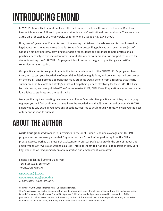## **Introducing Emond**

In 1978, Professor Paul Emond published the first Emond casebook. It was a casebook on Real Estate Law, which was soon followed by Administrative Law and Constitutional Law casebooks. They were used at the time for classes at the University of Toronto and Osgoode Hall Law School.

Now, over 40 years later, Emond is one of the leading publishers of casebooks and textbooks used in legal education programs across Canada. Some of our bestselling publications cover the subject of Canadian employment law, providing instruction for students and guidance to help professionals practise effectively in this important area. Emond also offers exam preparation support resources for students writing the CHRP/CHRL Employment Law Exam with the goal of practising as a certified HR Professional or Leader.

Our practice exam is designed to mimic the format and content of the CHRP/CHRL Employment Law Exam, and to test your knowledge of essential legislation, regulations, and policies that will be covered on the exam. It has become apparent that many students would benefit from a resource that clearly summarizes the key facts and strategies that will help them prepare effectively for the CHRP/CHRL Exam. For this reason, we have published The Comprehensive CHRP/CHRL Exam Preparation Manual and made it available to students and the public alike.

We hope that by incorporating this manual and Emond's substantive practice exam into your studying regimen, you will feel confident that you have the knowledge and ability to succeed on your CHRP/CHRL Employment Law Exam. If you have any questions, feel free to get in touch with us. We wish you the best of luck on the road to success.

## **About the author**

**Awale Deria** graduated from York University's Bachelor of Human Resources Management (BHRM) program and subsequently attended Osgoode Hall Law School. After graduating from the BHRM program, Awale worked as a research assistant for Professor David J. Doorey in the area of labour and employment law. Awale also worked as a legal intern at the United Nations Headquarters in New York City, where he worked primarily on administrative and employment law matters.

Emond Publishing | Emond Exam Prep 1 Eglinton Ave E, Suite 600 Toronto, ON M4P 3A1

u.emond.ca/chrpchrl [emondexamprep@emond.ca](mailto:emondexamprep%40emond.ca?subject=) 416-975-3925 | 1-888-837-0815

Copyright © 2019 Emond Montgomery Publications Limited.

All rights reserved. No part of this publication may be reproduced in any form by any means without the written consent of Emond Montgomery Publications. Emond Montgomery Publications and all persons involved in the creation of this publication disclaim any warranty as to the accuracy of this publication and shall not be responsible for any action taken in reliance on the publication, or for any errors or omissions contained in the publication.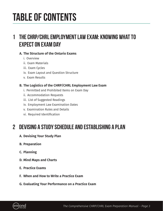## **Table of Contents**

## **[1](#page-4-0) [THE CHRP/CHRL EMPLOYMENT LAW EXAM: KNOWING WHAT TO](#page-4-0)  [EXPECT ON EXAM DAY](#page-4-0)**

#### **A. [The Structure of the Ontario Exams](#page-4-0)**

- i. [Overview](#page-4-0)
- ii. [Exam Materials](#page-5-0)
- iii. [Exam Cycles](#page-5-0)
- iv. [Exam Layout and Question Structure](#page-5-0)
- v. [Exam Results](#page-6-0)

#### **B. [The Logistics of the CHRP/CHRL Employment Law Exam](#page-7-0)**

- i. [Permitted and Prohibited Items on Exam Day](#page-7-0)
- ii. [Accommodation Requests](#page-8-0)
- iii. [List of Suggested Readings](#page-9-0)
- iv. [Employment Law Examination Dates](#page-9-0)
- v. [Examination Rules and Details](#page-9-0)
- vi. [Required Identification](#page-9-0)

### **2 [DEVISING A STUDY SCHEDULE AND ESTABLISHING A PLAN](#page-10-0)**

- **A. [Devising Your Study Plan](#page-10-0)**
- **B. [Preparation](#page-10-0)**
- **C. [Planning](#page-11-0)**
- **D. [Mind Maps and Charts](#page-12-0)**
- **E. [Practice Exams](#page-12-0)**
- **F. [When and How to Write a Practice Exam](#page-14-0)**
- **G. [Evaluating Your Performance on a Practice Exam](#page-15-0)**

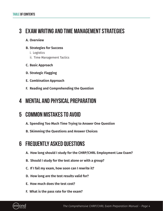#### **3 [EXAM WRITING AND TIME MANAGEMENT STRATEGIES](#page-16-0)**

#### **A. [Overview](#page-16-0)**

- **B. [Strategies for Success](#page-16-0)**
	- i. [Logistics](#page-16-0)
	- ii. [Time Management Tactics](#page-16-0)
- **C. [Basic Approach](#page-17-0)**
- **D. [Strategic Flagging](#page-17-0)**
- **E. [Combination Approach](#page-17-0)**
- **F. [Reading and Comprehending the Question](#page-18-0)**

#### **4 [MENTAL AND PHYSICAL PREPARATION](#page-20-0)**

### **5 [COMMON MISTAKES TO AVOID](#page-22-0)**

- **A. [Spending Too Much Time Trying to Answer One Question](#page-22-0)**
- **B. [Skimming the Questions and Answer Choices](#page-22-0)**

### **6 [FREQUENTLY ASKED QUESTIONS](#page-23-0)**

- **A. [How long should I study for the CHRP/CHRL Employment Law Exam?](#page-23-0)**
- **B. [Should I study for the test alone or with a group?](#page-23-0)**
- **C. [If I fail my exam, how soon can I rewrite it?](#page-23-0)**
- **D. [How long are the test results valid for?](#page-24-0)**
- **E. [How much does the test cost?](#page-24-0)**
- **F. [What is the pass rate for the exam?](#page-24-0)**

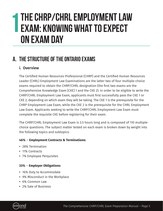## <span id="page-4-0"></span>**The CHRP/CHRL Employment Law Exam: Knowing What to Expect on Exam Day 1**

## **A. The Structure of the Ontario Exams**

#### **i. Overview**

The Certified Human Resources Professional (CHRP) and the Certified Human Resources Leader (CHRL) Employment Law Examinations are the latter two of four multiple-choice exams required to obtain the CHRP/CHRL designation (the first two exams are the Comprehensive Knowledge Exam [CKE] 1 and the CKE 2). In order to be eligible to write the CHRP/CHRL Employment Law Exam, applicants must first successfully pass the CKE 1 or CKE 2, depending on which exam they will be taking. The CKE 1 is the prerequisite for the CHRP Employment Law Exam, while the CKE 2 is the prerequisite for the CHRL Employment Law Exam. Applicants seeking to write the CHRP/CHRL Employment Law Exam must complete the requisite CKE before registering for their exam.

The CHRP/CHRL Employment Law Exam is 3.5 hours long and is composed of 110 multiplechoice questions. The subject matter tested on each exam is broken down by weight into the following topics and subtopics:

#### **46%** – **Employment Contracts & Terminations:**

- **•** 28% Termination
- **•** 11% Contracts
- **•** 7% Employee Perquisites

#### **33%** – **Employer Obligations:**

- **•** 16% Duty to Accommodate
- **•** 9% Misconduct in the Workplace
- **•** 6% Common Law
- **•** 2% Sale of Business

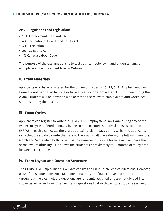#### <span id="page-5-0"></span>**21%** – **Regulations and Legislation:**

- **•** 10% Employment Standards Act
- **•** 4% Occupational Health and Safety Act
- **•** 4% Jurisdiction
- **•** 2% Pay Equity Act
- **•** 1% Canada Labour Code

The purpose of the examinations is to test your competency in and understanding of workplace and employment laws in Ontario.

#### **ii. Exam Materials**

Applicants who have registered for the online or in-person CHRP/CHRL Employment Law Exam are not permitted to bring or have any study or exam materials with them during the exam. Students will be provided with access to the relevant employment and workplace statutes during their exam.

#### **iii. Exam Cycles**

Applicants can register to write the CHRP/CHRL Employment Law Exam during any of the two exam cycles offered annually by the Human Resources Professionals Association (HRPA). In each exam cycle, there are approximately 14 days during which the applicants can schedule a date to write their exam. The exams will place during the following months: March and September. Both cycles use the same set of testing formats and will have the same level of difficulty. This allows the students approximately four months of study time between exam sittings.

#### **iv. Exam Layout and Question Structure**

The CHRP/CHRL Employment Law Exam consists of 110 multiple-choice questions. However, 8–12 of those questions WILL NOT count towards your final score and are scattered throughout the exam. All the questions are randomly assigned and are not divided into subject-specific sections. The number of questions that each particular topic is assigned

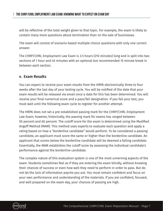<span id="page-6-0"></span>will be reflective of the total weight given to that topic. For example, the exam is likely to contain many more questions about termination than on the sale of businesses.

The exam will consist of scenario-based multiple-choice questions with only one correct answer.

The CHRP/CHRL Employment Law Exam is 3.5 hours (210 minutes) long and is split into two sections of 1 hour and 45 minutes with an optional but recommended 15 minute break in between each section.

#### **v. Exam Results**

You can expect to receive your exam results from the HRPA electronically three to four weeks after the last day of your testing cycle. You will be notified of the date that your exam results will be released via email once a date for this has been determined. You will receive your final numerical score and a pass/fail designation. If you fail your test, you must wait until the following exam cycle to register for another attempt.

The HRPA does not set a pre-established passing mark for the CHRP/CHRL Employment Law Exam; however, historically, the passing mark for exams has ranged between 50 percent and 60 percent. The cutoff score for the exam is determined using the Modified Angoff Method (MAM). This method uses experts to evaluate each question and apply a rating based on how a "borderline candidate" would perform. To be considered a passing candidate, an applicant must score the same or higher than the borderline candidate. An applicant that scores below the borderline candidate will be deemed a failing candidate. Essentially, the MAM establishes the cutoff score by assessing the individual candidate's performance against the borderline candidate.

The complex nature of this evaluation system is one of the most unnerving aspects of the exam. Students sometimes feel as if they are entering the exam blindly, without knowing their chances of success or even how well they need to perform in order to pass. But do not let the lack of information psyche you out. You must remain confident and focus on your own performance and understanding of the materials. If you are confident, focused, and well prepared on the exam day, your chances of passing are high.

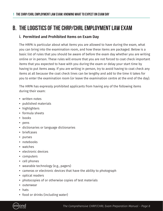### <span id="page-7-0"></span>**B. The Logistics of the CHRP/CHRL Employment Law Exam**

#### **i. Permitted and Prohibited Items on Exam Day**

The HRPA is particular about what items you are allowed to have during the exam, what you can bring into the examination room, and how these items are packaged. Below is a basic list of rules that you should be aware of before the exam day whether you are writing online or in person. These rules will ensure that you are not forced to coat check important items that you expected to have with you during the exam or delay your start time by having to put items away. If you are writing in person, try to avoid having to coat check any items at all because the coat check lines can be lengthy and add to the time it takes for you to enter the examination room (or leave the examination centre at the end of the day).

The HRPA has expressly prohibited applicants from having any of the following items during their exam:

- **•** written notes
- **•** published materials
- **•** highlighters
- **•** formula sheets
- **•** books
- **•** pens
- **•** dictionaries or language dictionaries
- **•** briefcases
- **•** purses
- **•** notebooks
- **•** watches
- **•** electronic devices
- **•** computers
- **•** cell phones
- **•** wearable technology (e.g., pagers)
- **•** cameras or electronic devices that have the ability to photograph
- **•** optical readers
- **•** photocopies of or otherwise copies of test materials
- **•** outerwear
- **•** hats
- **•** food or drinks (including water)

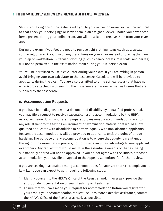<span id="page-8-0"></span>Should you bring any of these items with you to your in-person exam, you will be required to coat check your belongings or leave them in an assigned locker. Should you have these items present during your online exam, you will be asked to remove them from your exam area.

During the exam, if you feel the need to remove light clothing items (such as a sweater, suit jacket, or scarf), you must hang these items on your chair instead of placing them on your lap or workstation. Outerwear clothing (such as heavy jackets, rain coats, and parkas) will not be permitted in the examination room during your in-person exam.

You will be permitted to use a calculator during your exam. If you are writing in person, avoid bringing your own calculator to the test centre. Calculators will be provided to applicants during the exam. You are also permitted to bring soft ear plugs (that have no wires/cords attached) with you into the in-person exam room, as well as tissues that are supplied by the test centre.

#### **ii. Accommodation Requests**

If you have been diagnosed with a documented disability by a qualified professional, you may file a request to receive reasonable testing accommodations by the HRPA. As you will learn during your exam preparation, reasonable accommodations refer to any adjustment to the testing environment or examination material that would allow qualified applicants with disabilities to perform equally with non-disabled applicants. Reasonable accommodations will be provided to applicants until the point of undue hardship. The purpose of any accommodation is to ensure that equity is maintained throughout the examination process, not to provide an unfair advantage to one applicant over others. Any request that would result in the essential elements of the test being substantially altered will not be approved. If you do not agree with the HRPA's proposed accommodation, you may file an appeal to the Appeals Committee for further review.

If you are seeking reasonable testing accommodations for your CHRP or CHRL Employment Law Exam, you can expect to go through the following steps:

- 1. Identify yourself to the HRPA's Office of the Registrar and, if necessary, provide the appropriate documentation of your disability or disabilities.
- 2. Ensure that you have made your request for accommodation **before** you register for your test. If your accommodation request includes more extensive assistance, contact the HRPA's Office of the Registrar as early as possible.

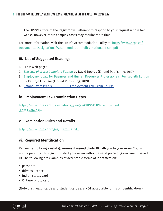<span id="page-9-0"></span>3. The HRPA's Office of the Registrar will attempt to respond to your request within two weeks; however, more complex cases may require more time.

For more information, visit the HRPA's Accommodation Policy at: [https://www.hrpa.ca/](https://www.hrpa.ca/Documents/Designations/Accommodation-Policy-National-Exam.pdf) [Documents/Designations/Accommodation-Policy-National-Exam.pdf](https://www.hrpa.ca/Documents/Designations/Accommodation-Policy-National-Exam.pdf)

#### **iii. List of Suggested Readings**

- 1. HRPA web pages
- 2. *[The Law of Work: Complete Edition](https://emond.ca/store/books/the-law-of-work-2nd-edition?utm_medium=content&utm_source=manual&utm_campaign=me_chrpchrl)* by David Doorey (Emond Publishing, 2017)
- 3. [Employment Law for Business and Human Resources Professionals, Revised 4th Edition](https://emond.ca/store/books/employment-law-for-business-and-human-resources-pr?r=%2fstore%3fsearchtex&utm_medium=content&utm_source=manual&utm_campaign=me_chrpchrl) by Kathryn Filsinger (Emond Publishing, 2019)
- 4. [Emond Exam Prep's CHRP/CHRL Employment Law Exam Course](https://emond.ca/store/courses/chrp-chrl-employment-law-preparation-course?utm_medium=content&utm_source=manual&utm_campaign=me_chrpchrl)

#### **iv. Employment Law Examination Dates**

[https://www.hrpa.ca/hrdesignations\\_/Pages/CHRP-CHRL-Employment](https://www.hrpa.ca/hrdesignations_/Pages/CHRP-CHRL-Employment-Law-Exam.aspx) [-Law-Exam.aspx](https://www.hrpa.ca/hrdesignations_/Pages/CHRP-CHRL-Employment-Law-Exam.aspx)

#### **v. Examination Rules and Details**

[https://www.hrpa.ca/Pages/Exam-Details](https://www.hrpa.ca/designations/cke1-cke2-comprehensive-knowledge-exam/)

#### **vi. Required Identification**

Remember to bring a **valid government issued photo ID** with you to your exam. You will not be permitted to sign in or start your exam without a valid piece of government issued ID. The following are examples of acceptable forms of identification:

- **•** passport
- **•** driver's licence
- **•** Indian status card
- **•** Ontario photo card

(Note that health cards and student cards are NOT acceptable forms of identification.)

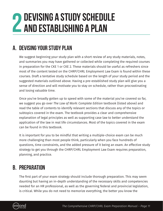## <span id="page-10-0"></span>**Devising a Study Schedule 2 and Establishing a plan**

## **A. Devising Your Study Plan**

We suggest beginning your study plan with a short review of any study materials, notes, and summaries you may have gathered or collected while completing the required courses in preparation for the CKE 1 or CKE 2. These materials should be useful as refreshers since most of the content tested on the CHRP/CHRL Employment Law Exam is found within these courses. Draft a tentative study schedule based on the length of your study period and the suggested materials outlined above. Having a pre-established study plan will give you a sense of direction and will motivate you to stay on schedule, rather than procrastinating and losing valuable time.

Once you've broadly gotten up to speed with some of the material you've covered so far, we suggest you go over *The Law of Work: Complete Edition* textbook (listed above) and read the table of contents to identify relevant sections that discuss any of the topics or subtopics covered in the exam. The textbook provides a clear and comprehensive explanation of legal principles as well as supporting case law to better understand the application of the law in real life circumstances. Most of the topics covered in the exam can be found in this textbook.

It is important for you to be mindful that writing a multiple-choice exam can be much more challenging than most people think, particularly when you face hundreds of questions, time constraints, and the added pressure of it being an exam. An effective study strategy to get you through the CHRP/CHRL Employment Law Exam requires preparation, planning, and practice.

## **B. Preparation**

The first part of your exam strategy should include thorough preparation. This may seem daunting but having an in-depth understanding of the necessary skills and competencies needed for an HR professional, as well as the governing federal and provincial legislation, is critical. While you do not need to memorize everything, the better you know the

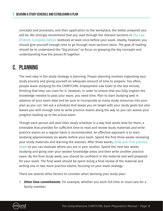<span id="page-11-0"></span>concepts and processes, and their application to the workplace, the better prepared you will be. We *strongly* recommend that you read through the relevant sections in [The Law](https://emond.ca/store/books/the-law-of-work-2nd-edition?utm_medium=content&utm_source=manual&utm_campaign=me_chrpchrl)  [of Work: Complete Edition](https://emond.ca/store/books/the-law-of-work-2nd-edition?utm_medium=content&utm_source=manual&utm_campaign=me_chrpchrl) textbook at least once before your exam. Ideally, however, you should give yourself enough time to go through most sections twice. The goal of reading should be to understand the "big picture," so focus on grasping the key concepts and understanding how the pieces fit together.

### **C. Planning**

The next step in the study strategy is planning. Proper planning involves organizing your study process and giving yourself an adequate amount of time to prepare. Too often, people leave studying for the CHRP/CHRL Employment Law Exam to the last minute, thinking that they can cram for it. However, in order to ensure that you fully engrain the knowledge needed to pass your exam, you need time. Plan to start studying well in advance of your exam date and be sure to incorporate as many study resources into your plan as you can. Set out a schedule that keeps you on target with your study goals but also leaves you with enough time to write practice exams along the way so you can assess your progress leading up to the actual exam.

Though each person will plan their study schedule in a way that works best for them, a timetable that provides for sufficient time to read and review study materials and write practice exams on a regular basis is recommended. An effective approach is to start studying approximately six weeks before your exam. Spend the first three weeks reviewing your study materials and learning the statutes. After three weeks, write your first practice [exam](https://emond.ca/store/exams/chrp-chrl-employment-law-practice-exam?utm_medium=content&utm_source=manual&utm_campaign=me_chrpchrl) so you can evaluate where you are in your studies. Spend the next two weeks studying and going over your weaker knowledge areas and then write another practice exam. By the final study week, you should be confident in the material and well prepared for your exam. The final week should be spent doing a final review of the material and writing one or two more practice exams, focusing on your exam strategy.

There are several other factors to consider when devising your study plan:

1. **Other time commitments**. For example, whether you work full time or must care for a family member.

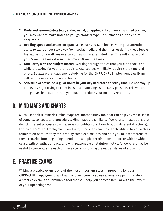- <span id="page-12-0"></span>2. **Preferred learning style (e.g., audio, visual, or applied)**. If you are an applied learner, you may want to make notes as you go along or type up summaries at the end of each topic.
- 3. **Reading speed and attention span**. Make sure you take breaks when your attention starts to wander but stay away from social media and the Internet during these breaks. Instead, go for a walk, make a cup of tea, or do a few stretches. This will ensure that your 5-minute break doesn't become a 50-minute break.
- 4. **Familiarity with the subject matter**. Working through topics that you didn't focus on while preparing for your pre-requisite CKE courses will likely require more time and effort. Be aware that days spent studying for the CHRP/CHRL Employment Law Exam will require more stamina and focus.
- 5. **Schedule or set aside regular hours in your day dedicated to study time**. Do not stay up late every night trying to cram in as much studying as humanly possible. This will create a negative sleep cycle, stress you out, and reduce your memory retention.

## **D. Mind Maps and Charts**

Much like topic summaries, mind maps are another study tool that can help you make sense of complex concepts and procedures. Mind maps are similar to flow charts (illustrations that depict different processes using a series of bubbles that branch out in different directions). For the CHRP/CHRL Employment Law Exam, mind maps are most applicable to topics such as termination because they can simplify complex timelines and help you follow different if/ then scenarios from beginning to end. For example, terminations can occur with or without cause, with or without notice, and with reasonable or statutory notice. A flow chart may be useful to conceptualize each of these scenarios during the earlier stages of studying.

## **E. Practice Exams**

Writing a practice exam is one of the most important steps in preparing for your CHRP/CHRL Employment Law Exam, and we strongly advise against skipping this step. A practice exam is an invaluable tool that will help you become familiar with the layout of your upcoming test.

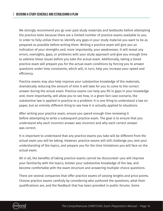We strongly recommend you go over past study materials and textbooks before attempting the practice tests because there are a limited number of practice exams available to you. In order to fully utilize them to identify any gaps in your study material you want to be as prepared as possible before writing them. Writing a practice exam will give you an indication of your strengths and, more importantly, your weaknesses. It will reveal any errors, oversights, gaps, or problems with your study approach and give you enough time to address these issues before you take the actual exam. Additionally, taking a timed practice exam will prepare you for the actual exam conditions by forcing you to answer questions under time constraints, which will, in turn, help you increase your speed and efficiency.

Practice exams may also help improve your substantive knowledge of the materials, dramatically reducing the amount of time it will take for you to come to the correct answer during the actual exam. Practice exams can help you fill in gaps in your knowledge and, more importantly, will allow you to see how, in a given fact case scenario, the substantive law is applied in practice to a problem: It is one thing to understand a law on paper, but an entirely different thing to see how it is actually applied to situations.

After writing your practice exam, ensure you spend enough time reviewing it before attempting to write a subsequent practice exam. The goal is to ensure that you understand why each incorrect answer was incorrect and why each correct answer was correct.

It is important to understand that any practice exams you take will be different from the actual exam you will be taking. However, practice exams will still challenge you, test your understanding of the topics, and prepare you for the time limitations you will face on the actual exam.

All in all, the benefits of taking practice exams cannot be discounted—you will improve your familiarity with the topics, bolster your substantive knowledge of the law, and become comfortable with the exam structure and answering multiple-choice questions.

There are several companies that offer practice exams of varying lengths and price points. Choose practice exams carefully by considering who authored the questions, what their qualifications are, and the feedback that has been provided in public forums. Some

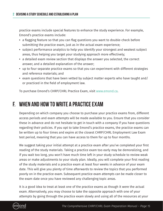<span id="page-14-0"></span>practice exams include special features to enhance the study experience. For example, Emond's practice exams include:

- **•** a flagging feature so that you can flag questions you want to double-check before submitting the practice exam, just as in the actual exam experience;
- **•** subject performance analytics to help you identify your strongest and weakest subject areas, thus helping you target your studying approach more effectively;
- **•** a detailed exam review section that displays the answer you selected, the correct answer, and a detailed explanation of the answer;
- **•** up to four separate practice exams so that you can experiment with different strategies and reference materials; and
- **•** exam questions that have been vetted by subject matter experts who have taught and/ or practiced in the field of employment law.

To purchase Emond's CHRP/CHRL Practice Exam, visit [www.emond](https://emond.ca/store/exams/chrp-chrl-employment-law-practice-exam?utm_medium=content&utm_source=manual&utm_campaign=me_chrpchrl).ca.

#### **F. When and How to Write a Practice Exam**

Depending on which company you choose to purchase your practice exams from, different access periods and exam attempts will be made available to you. Ensure that you consider these in advance and do not hesitate to get in touch with a company if you have questions regarding their policies. If you opt to take Emond's practice exams, the practice exams can be written up to four times and expire at the closest CHRP/CHRL Employment Law Exam test period, meaning that you can have access to them for up to four months.

We suggest taking your initial attempt at a practice exam after you've completed your first reading of the study materials. Taking a practice exam too early may be demoralizing, and if you wait too long, you won't have much time left in your study schedule to review weak areas or make adjustments to your study plan. Ideally, you will complete your first reading of the study materials and a practice exam at least four weeks in advance of your exam date. This will give you plenty of time afterwards to review the topics that you performed poorly on in the practice exam. Subsequent practice exam attempts can be made closer to the exam date once you have reviewed any challenging topic areas.

It is a good idea to treat at least one of the practice exams as though it were the actual exam. Alternatively, you may choose to take the opposite approach with one of your attempts by going through the practice exam slowly and using all of the resources at your

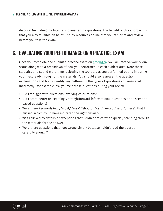<span id="page-15-0"></span>disposal (including the Internet) to answer the questions. The benefit of this approach is that you may stumble on helpful study resources online that you can print and review before you take the exam.

## **G. Evaluating Your Performance on a Practice Exam**

Once you complete and submit a practice exam on [emond.](https://emond.ca/store/exams/chrp-chrl-employment-law-practice-exam?utm_medium=content&utm_source=manual&utm_campaign=me_chrpchrl)ca, you will receive your overall score, along with a breakdown of how you performed in each subject area. Note these statistics and spend more time reviewing the topic areas you performed poorly in during your next read-through of the materials. You should also review all the question explanations and try to identify any patterns in the types of questions you answered incorrectly—for example, ask yourself these questions during your review:

- **•** Did I struggle with questions involving calculations?
- **•** Did I score better on seemingly straightforward informational questions or on scenariobased questions?
- **•** Were there keywords (e.g., "must," "may," "should," "can," "except," and "unless") that I missed, which could have indicated the right answer?
- **•** Was I tricked by details or exceptions that I didn't notice when quickly scanning through the materials for the answer?
- **•** Were there questions that I got wrong simply because I didn't read the question carefully enough?

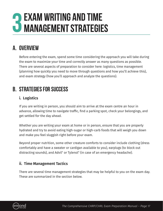## <span id="page-16-0"></span>**Exam Writing and Time 3 Management Strategies**

## **A. Overview**

Before entering the exam, spend some time considering the approach you will take during the exam to maximize your time and correctly answer as many questions as possible. There are several aspects of preparation to consider here: logistics, time management (planning how quickly you need to move through questions and how you'll achieve this), and exam strategy (how you'll approach and analyze the questions).

## **B. Strategies for Success**

#### **i. Logistics**

If you are writing in person, you should aim to arrive at the exam centre an hour in advance, allowing time to navigate traffic, find a parking spot, check your belongings, and get settled for the day ahead.

Whether you are writing your exam at home or in person, ensure that you are properly hydrated and try to avoid eating high-sugar or high-carb foods that will weigh you down and make you feel sluggish right before your exam.

Beyond proper nutrition, some other creature comforts to consider include clothing (dress comfortably and have a sweater or cardigan available to you), earplugs (to block out distracting sounds), and Advil® or Tylenol® (in case of an emergency headache).

#### **ii. Time Management Tactics**

There are several time management strategies that may be helpful to you on the exam day. These are summarized in the section below.

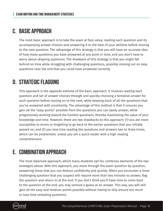### <span id="page-17-0"></span>**C. Basic Approach**

The most basic approach is to take the exam at face value, reading each question and its accompanying answer choices and answering it to the best of your abilities before moving to the next question. The advantage of this strategy is that you will have an accurate idea of how many questions you have answered at any point in time, and you don't have to worry about skipping questions. The drawback of this strategy is that you might fall behind on time while struggling with challenging questions, possibly missing out on easy questions near the end that you could have answered correctly.

## **D. Strategic Flagging**

This approach is the opposite extreme of the basic approach. It involves reading each question and set of answer choices through and quickly choosing a tentative answer for each question before moving on to the next, while keeping track of all the questions that you've answered with uncertainty. The advantage of this method is that it ensures you gain all the "easy points" possible from the questions you can easily answer, while progressively working toward the hardest questions, thereby maximizing the value of your knowledge and time. However, there are two drawbacks to this approach: (1) you are more susceptible to errors or forgetting to go back to the earlier questions that you initially passed on; and (2) you lose time reading the questions and answers two to three times, which can be problematic unless you are a quick reader with a high reading comprehension.

## **E. Combination Approach**

The most balanced approach, which many students opt for, combines elements of the two strategies above. With this approach, you move through the exam question by question, answering those that you can deduce confidently and quickly. When you encounter a more challenging question that you suspect will require more than two minutes to answer, flag the question and return to at the end. If you don't think you'll have time to come back to the question at the end, you may venture a guess at an answer. This way, you will still gain all the easy and medium points possible without having to skip around too much or lose time rereading questions.

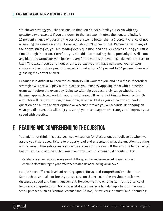<span id="page-18-0"></span>Whichever strategy you choose, ensure that you *do not* submit your exam with *any questions unanswered*. If you are down to the last two minutes, then guess blindly. A 25 percent chance of guessing the correct answer is better than a 0 percent chance of not answering the question at all. However, it shouldn't come to that. Remember: with any of the above strategies, you are reading every question and answer choices during your first time through the exam. Therefore, you should also be taking the opportunity to strike out any blatantly wrong answer choices—even for questions that you have flagged to return to later. This way, if you do run out of time, at least you will have narrowed your answer choices to two or three possibilities, which makes for a 33 percent to 50 percent chance of guessing the correct answer.

Because it is difficult to know which strategy will work for you, and how these theoretical strategies will actually play out in practice, you must try applying them with a practice exam well before the exam day. Doing so will help you accurately gauge whether the flagging approach will work for you or whether you'll run out of time before reaching the end. This will help you to see, in real time, whether it takes you 20 seconds to read a question and all the answer options or whether it takes you 40 seconds. Depending on what you discover, this will help you adapt your exam approach strategy and improve your speed with practice.

### **F. Reading and Comprehending the Question**

You might not think this deserves its own section for discussion, but believe us when we assure you that it does. Failure to properly read and understand what the question is asking is what most often sabotages a student's success on the exam. If there is one fundamental but crucial piece of advice that you take away from this manual, it should be this:

Carefully read and absorb every word of the question and every word of each answer choice before turning to your reference materials or selecting an answer.

People have different levels of reading **speed**, **focus**, and **comprehension**—the three factors that can make or break your success on the exam. In the previous section we discussed speed and time management. Here we want to emphasize the importance of focus and comprehension. Make no mistake: language is hugely important on the exam. Small phrases such as "cannot" versus "should not," "may" versus "must," and "including"

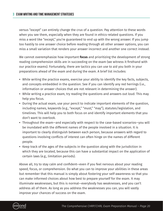#### **3 Exam Writing and Time Management Strategies**

versus "except" can entirely change the crux of a question. Pay attention to these words when you see them, especially when they are found in ethics-related questions. If you miss a word like "except," you're guaranteed to end up with the wrong answer. If you jump too hastily to one answer choice before reading through all other answer options, you can miss a small variation that renders your answer incorrect and another one correct instead.

We cannot overemphasize how important **focus** and prioritizing the development of strong reading comprehension skills are in succeeding on the exam (we witness it firsthand with our practice exams). Fortunately, there are tactics you can use to aid you both in your preparations ahead of the exam and during the exam. A brief list includes:

- **•** While writing the practice exams, exercise your ability to identify the key facts, subjects, and concepts embedded in the question. See if you can identify any red herrings (i.e., information or answer choices that are not relevant in determining the answer).
- **•** While writing a practice exam, try reading the questions and answers out loud. This may help you focus.
- **•** During the actual exam, use your pencil to indicate important elements of the question, including names, keywords (e.g., "except," "must," "may"), statutes/legislation, and timelines. This will help you to both focus on and identify important elements that you don't want to overlook.
- **•** Throughout the exam—and especially with respect to the case-based scenarios—you will be inundated with the different names of the people involved in a situation. It is important to clearly distinguish between each person, because answers with regard to questions involving conflicts of interest can often hinge on the names of different people.
- **•** Keep track of the ages of the subjects in the question along with the jurisdiction in which they are located, because this can have a substantial impact on the application of certain laws (e.g., limitation periods).

Above all, try to stay calm and confident—even if you feel nervous about your reading speed, focus, or comprehension. Do what you can to improve your abilities in these areas but remember that this manual is simply about fostering your self-awareness so that you can make informed choices about how best to prepare yourself for the exam. It may illuminate weaknesses, but this is normal—everybody has weaknesses, and you can't address all of them. As long as you address the weaknesses you can, you will vastly improve your chances of success on the exam.

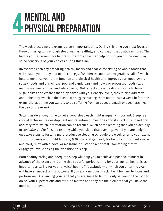## <span id="page-20-0"></span>**4 MENTAL AND<br>4 PHYSICAL PREPARATION**

The week preceding the exam is a very important time. During this time you must focus on three things: getting enough sleep, eating healthily, and cultivating a positive mindset. The habits you set seven days before your exam can either help or hurt you on the exam day, so be conscious of your choices during this time.

Invest time each day preparing healthy meals and snacks consisting of whole foods that will sustain your body and mind. Eat eggs, fish, berries, nuts, and vegetables—all of which help to enhance your brain function and physical health and improve your mood. Avoid sugary foods and drinks (e.g., pop and candy bars) and heavy or processed foods (e.g., microwave meals, pizza, and white pasta). Not only do these foods contribute to huge sugar spikes and crashes that play havoc with your energy levels, they're also addictive and unhealthy, which is the reason we suggest cutting them out at least a week before the exam (the last thing you want is to be suffering from an upset stomach or sugar cravings the day of the exam).

Setting aside enough time to get a good sleep each night is equally important. Sleep is a critical factor in the development and retention of memories and it affects the speed and accuracy with which information can be recalled. Much of the learning that you do actually occurs *after* you're finished reading while you sleep that evening. Even if you are a night owl, take steps to foster a more productive sleeping schedule the week prior to your exam. Turn off screens and bright lights by 9:30 p.m. and get ready for bed. If you still feel awake and alert, relax with a novel or magazine or listen to a podcast—something that will engage you while easing the transition to sleep.

Both healthy eating and adequate sleep will help you to achieve a positive mindset in advance of the exam day. During this stressful period, caring for your mental health is as important as caring for your physical health. The attitude with which you enter the exam will have an impact on its outcome. If you are a nervous wreck, it will be hard to focus and perform well. Convincing yourself that you are going to fail will only set you on the road to do so. Your expectations and attitude matter, and they are the element that you have the most control over.

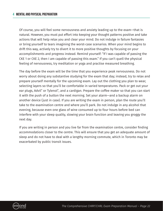#### **4 Mental and Physical Preparation**

Of course, you will feel some nervousness and anxiety leading up to the exam—that is natural. However, you must put effort into keeping your thought patterns positive and take actions that will help relax you and clear your mind. Do not indulge in failure fantasies or bring yourself to tears imagining the worst-case scenarios. When your mind begins to drift this way, actively try to divert it to more positive thoughts by focusing on your accomplishments and progress instead. Remind yourself: "If I was capable of passing the CKE 1 or CKE 2, then I am capable of passing this exam." If you can't quell the physical feeling of nervousness, try meditation or yoga and practise measured breathing.

The day before the exam will be the time that you experience peak nervousness. Do not worry about doing any substantive studying for the exam that day; instead, try to relax and prepare yourself mentally for the upcoming exam. Lay out the clothing you plan to wear, selecting layers so that you'll be comfortable in varied temperatures. Pack or get out your ear plugs, Advil<sup>®</sup> or Tylenol®, and a cardigan. Prepare the coffee maker so that you can start it with the push of a button the next morning. Set your alarm—and a backup alarm on another device (just in case). If you are writing the exam in person, plan the route you'll take to the examination centre and where you'll park. Do not indulge in any alcohol that evening, because even one glass of wine consumed up to four hours before bed can interfere with your sleep quality, slowing your brain function and leaving you groggy the next day.

If you are writing in person and you live far from the examination centre, consider finding accommodations closer to the centre. This will ensure that you get an adequate amount of sleep and do not have to deal with a lengthy morning commute, which in Toronto may be exacerbated by public transit issues.

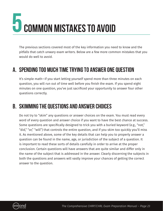# <span id="page-22-0"></span>**COMMON MISTAKES TO AVOID**

The previous sections covered most of the key information you need to know and the pitfalls that catch unwary exam writers. Below are a few more common mistakes that you would do well to avoid.

### **A. Spending Too Much Time Trying to Answer One Question**

It's simple math—if you start letting yourself spend more than three minutes on each question, you will run out of time well before you finish the exam. If you spend eight minutes on one question, you've just sacrificed your opportunity to answer four other questions correctly.

### **B. Skimming the Questions and Answer Choices**

Do not try to "skim" any questions or answer choices on the exam. You must read every word of every question and answer choice if you want to have the best chance at success. Some questions are specifically designed to trick you with a buried keyword (e.g., "not," "did," "or," "will") that controls the entire question, and if you skim too quickly you'll miss it. As mentioned above, some of the key details that can help you to properly answer a question can be found in the name, age, or jurisdiction of the subject of a question. It is important to read these sorts of details carefully in order to arrive at the proper conclusion. Certain questions will have answers that are quite similar and differ only in the name of the subject that is addressed in the answer. Clearly discerning the subjects in both the questions and answers will vastly improve your chances of getting the correct answer to the question.

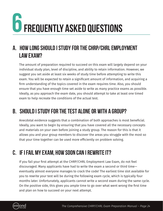# <span id="page-23-0"></span>**6Frequently Asked Questions**

## **A. How long should I study for the CHRP/CHRL Employment Law Exam?**

The amount of preparation required to succeed on this exam will largely depend on your individual study plan, level of discipline, and ability to retain information. However, we suggest you set aside at least six weeks of study time before attempting to write this exam. You will be expected to retain a significant amount of information, and acquiring a firm understanding of the topics covered in the exam requires time. Also, you should ensure that you have enough time set aside to write as many practice exams as possible. Ideally, as you approach the exam date, you should attempt to take at least one timed exam to help recreate the conditions of the actual test.

## **B. Should I study for the test alone or with a group?**

Anecdotal evidence suggests that a combination of both approaches is most beneficial. Ideally, you want to begin by ensuring that you have covered all the necessary concepts and materials on your own before joining a study group. The reason for this is that it allows you and your group members to discover the areas you struggle with the most so that your time together can be used more efficiently on problem solving.

## **C. If I fail my exam, how soon can I rewrite it?**

If you fail your first attempt at the CHRP/CHRL Employment Law Exam, do not feel discouraged. Many applicants have had to write the exam a second or third time eventually almost everyone manages to crack the code! The earliest time slot available for you to rewrite your test will be during the following exam cycle, which is typically four months later. Unfortunately, applicants cannot write a second exam during the same cycle. On the positive side, this gives you ample time to go over what went wrong the first time and plan on how to succeed on your next attempt.

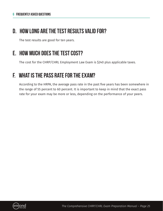#### <span id="page-24-0"></span>**D. How long are the test results valid for?**

The test results are good for ten years.

## **E. How much does the test cost?**

The cost for the CHRP/CHRL Employment Law Exam is \$240 plus applicable taxes.

## **F. What is the pass rate for the exam?**

According to the HRPA, the average pass rate in the past five years has been somewhere in the range of 55 percent to 60 percent. It is important to keep in mind that the exact pass rate for your exam may be more or less, depending on the performance of your peers.